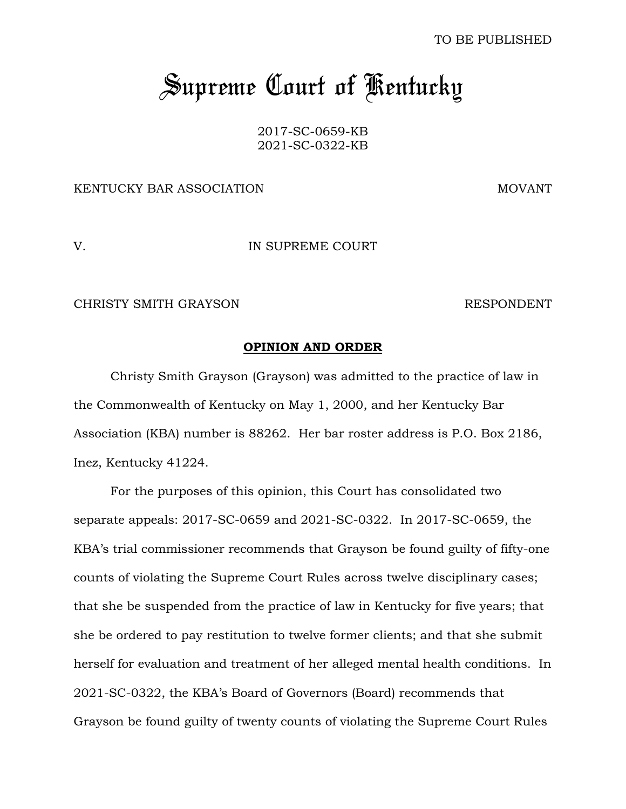TO BE PUBLISHED

# *Supreme Court of Kentucky*

2017-SC-0659-KB 2021-SC-0322-KB

# KENTUCKY BAR ASSOCIATION NOTHING AND MOVANT

# V. IN SUPREME COURT

CHRISTY SMITH GRAYSON RESPONDENT

#### **OPINION AND ORDER**

Christy Smith Grayson (Grayson) was admitted to the practice of law in the Commonwealth of Kentucky on May 1, 2000, and her Kentucky Bar Association (KBA) number is 88262. Her bar roster address is P.O. Box 2186, Inez, Kentucky 41224.

For the purposes of this opinion, this Court has consolidated two separate appeals: 2017-SC-0659 and 2021-SC-0322. In 2017-SC-0659, the KBA's trial commissioner recommends that Grayson be found guilty of fifty-one counts of violating the Supreme Court Rules across twelve disciplinary cases; that she be suspended from the practice of law in Kentucky for five years; that she be ordered to pay restitution to twelve former clients; and that she submit herself for evaluation and treatment of her alleged mental health conditions. In 2021-SC-0322, the KBA's Board of Governors (Board) recommends that Grayson be found guilty of twenty counts of violating the Supreme Court Rules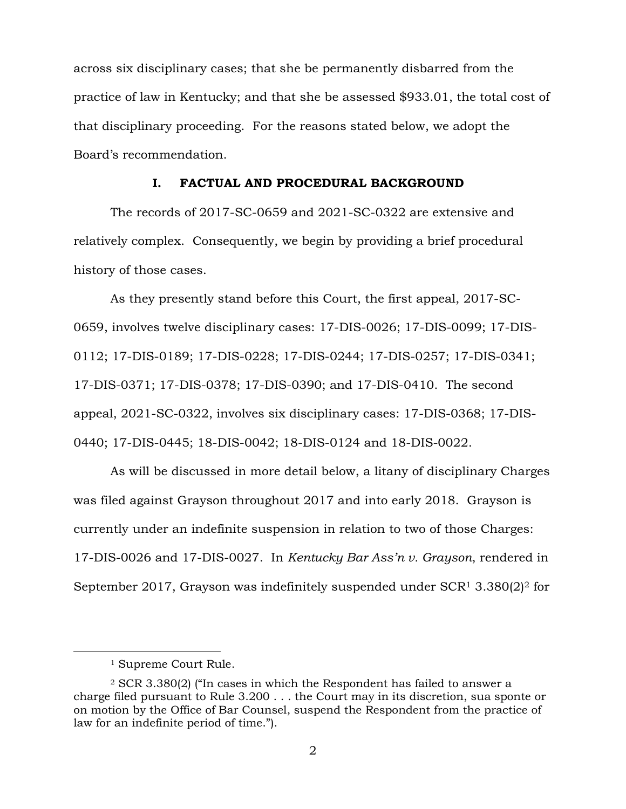across six disciplinary cases; that she be permanently disbarred from the practice of law in Kentucky; and that she be assessed \$933.01, the total cost of that disciplinary proceeding. For the reasons stated below, we adopt the Board's recommendation.

#### **I. FACTUAL AND PROCEDURAL BACKGROUND**

The records of 2017-SC-0659 and 2021-SC-0322 are extensive and relatively complex. Consequently, we begin by providing a brief procedural history of those cases.

As they presently stand before this Court, the first appeal, 2017-SC-0659, involves twelve disciplinary cases: 17-DIS-0026; 17-DIS-0099; 17-DIS-0112; 17-DIS-0189; 17-DIS-0228; 17-DIS-0244; 17-DIS-0257; 17-DIS-0341; 17-DIS-0371; 17-DIS-0378; 17-DIS-0390; and 17-DIS-0410. The second appeal, 2021-SC-0322, involves six disciplinary cases: 17-DIS-0368; 17-DIS-0440; 17-DIS-0445; 18-DIS-0042; 18-DIS-0124 and 18-DIS-0022.

As will be discussed in more detail below, a litany of disciplinary Charges was filed against Grayson throughout 2017 and into early 2018. Grayson is currently under an indefinite suspension in relation to two of those Charges: 17-DIS-0026 and 17-DIS-0027. In *Kentucky Bar Ass'n v. Grayson*, rendered in September 2017, Grayson was indefinitely suspended under SCR<sup>1</sup> 3.380(2)<sup>2</sup> for

<sup>1</sup> Supreme Court Rule.

<sup>2</sup> SCR 3.380(2) ("In cases in which the Respondent has failed to answer a charge filed pursuant to Rule 3.200 . . . the Court may in its discretion, sua sponte or on motion by the Office of Bar Counsel, suspend the Respondent from the practice of law for an indefinite period of time.").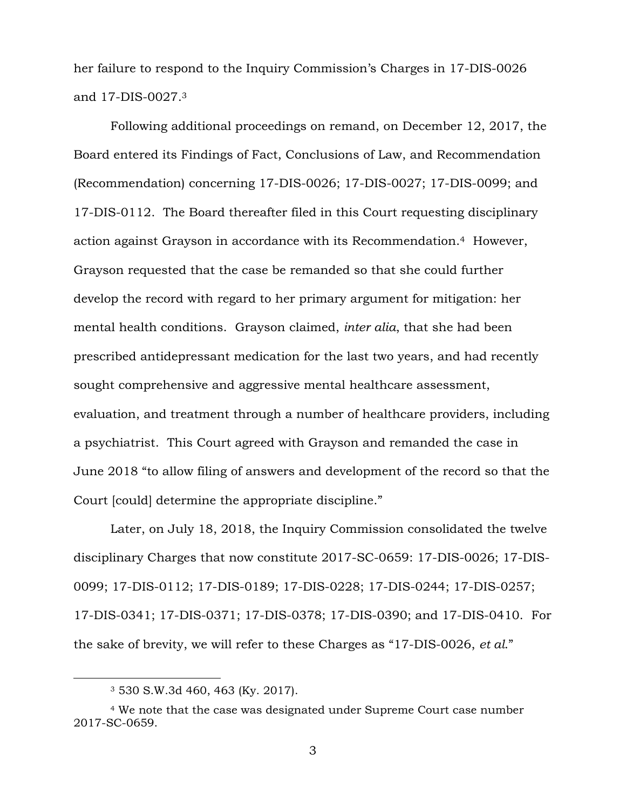her failure to respond to the Inquiry Commission's Charges in 17-DIS-0026 and 17-DIS-0027. 3

Following additional proceedings on remand, on December 12, 2017, the Board entered its Findings of Fact, Conclusions of Law, and Recommendation (Recommendation) concerning 17-DIS-0026; 17-DIS-0027; 17-DIS-0099; and 17-DIS-0112. The Board thereafter filed in this Court requesting disciplinary action against Grayson in accordance with its Recommendation.4 However, Grayson requested that the case be remanded so that she could further develop the record with regard to her primary argument for mitigation: her mental health conditions. Grayson claimed, *inter alia*, that she had been prescribed antidepressant medication for the last two years, and had recently sought comprehensive and aggressive mental healthcare assessment, evaluation, and treatment through a number of healthcare providers, including a psychiatrist. This Court agreed with Grayson and remanded the case in June 2018 "to allow filing of answers and development of the record so that the Court [could] determine the appropriate discipline."

Later, on July 18, 2018, the Inquiry Commission consolidated the twelve disciplinary Charges that now constitute 2017-SC-0659: 17-DIS-0026; 17-DIS-0099; 17-DIS-0112; 17-DIS-0189; 17-DIS-0228; 17-DIS-0244; 17-DIS-0257; 17-DIS-0341; 17-DIS-0371; 17-DIS-0378; 17-DIS-0390; and 17-DIS-0410. For the sake of brevity, we will refer to these Charges as "17-DIS-0026, *et al*."

<sup>3</sup> 530 S.W.3d 460, 463 (Ky. 2017).

<sup>4</sup> We note that the case was designated under Supreme Court case number 2017-SC-0659.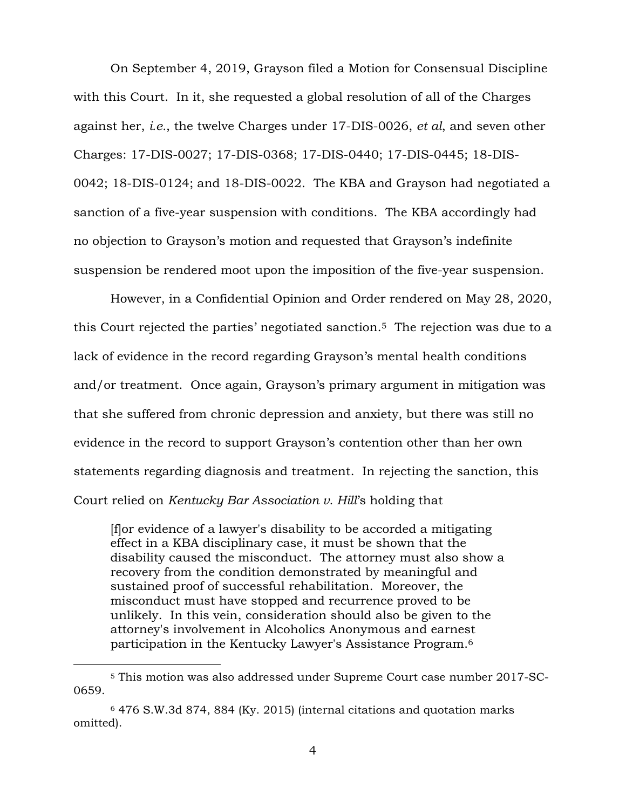On September 4, 2019, Grayson filed a Motion for Consensual Discipline with this Court. In it, she requested a global resolution of all of the Charges against her, *i.e.*, the twelve Charges under 17-DIS-0026, *et al*, and seven other Charges: 17-DIS-0027; 17-DIS-0368; 17-DIS-0440; 17-DIS-0445; 18-DIS-0042; 18-DIS-0124; and 18-DIS-0022. The KBA and Grayson had negotiated a sanction of a five-year suspension with conditions. The KBA accordingly had no objection to Grayson's motion and requested that Grayson's indefinite suspension be rendered moot upon the imposition of the five-year suspension.

However, in a Confidential Opinion and Order rendered on May 28, 2020, this Court rejected the parties' negotiated sanction.5 The rejection was due to a lack of evidence in the record regarding Grayson's mental health conditions and/or treatment. Once again, Grayson's primary argument in mitigation was that she suffered from chronic depression and anxiety, but there was still no evidence in the record to support Grayson's contention other than her own statements regarding diagnosis and treatment. In rejecting the sanction, this Court relied on *Kentucky Bar Association v. Hill*'s holding that

[f]or evidence of a lawyer's disability to be accorded a mitigating effect in a KBA disciplinary case, it must be shown that the disability caused the misconduct. The attorney must also show a recovery from the condition demonstrated by meaningful and sustained proof of successful rehabilitation. Moreover, the misconduct must have stopped and recurrence proved to be unlikely. In this vein, consideration should also be given to the attorney's involvement in Alcoholics Anonymous and earnest participation in the Kentucky Lawyer's Assistance Program.<sup>6</sup>

<sup>5</sup> This motion was also addressed under Supreme Court case number 2017-SC-0659.

<sup>6</sup> 476 S.W.3d 874, 884 (Ky. 2015) (internal citations and quotation marks omitted).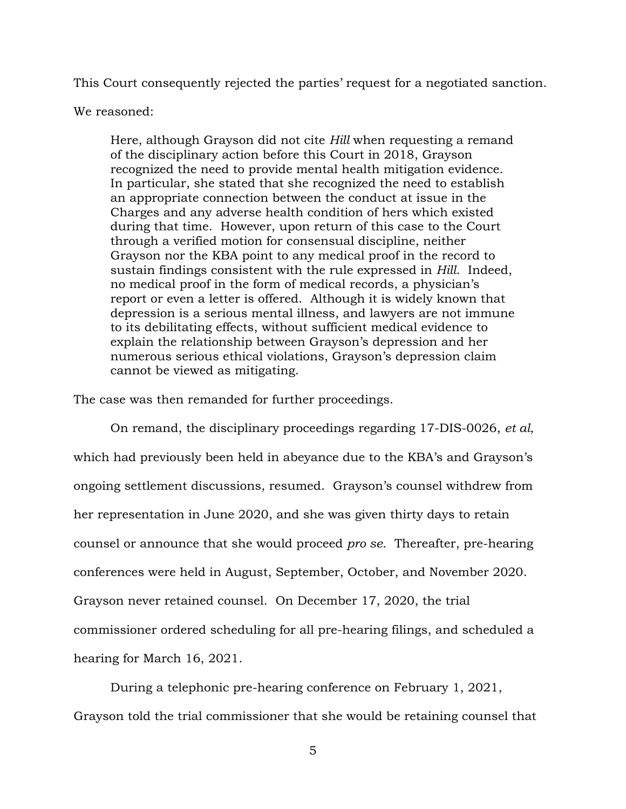This Court consequently rejected the parties' request for a negotiated sanction.

#### We reasoned:

Here, although Grayson did not cite *Hill* when requesting a remand of the disciplinary action before this Court in 2018, Grayson recognized the need to provide mental health mitigation evidence. In particular, she stated that she recognized the need to establish an appropriate connection between the conduct at issue in the Charges and any adverse health condition of hers which existed during that time. However, upon return of this case to the Court through a verified motion for consensual discipline, neither Grayson nor the KBA point to any medical proof in the record to sustain findings consistent with the rule expressed in *Hill*. Indeed, no medical proof in the form of medical records, a physician's report or even a letter is offered. Although it is widely known that depression is a serious mental illness, and lawyers are not immune to its debilitating effects, without sufficient medical evidence to explain the relationship between Grayson's depression and her numerous serious ethical violations, Grayson's depression claim cannot be viewed as mitigating.

The case was then remanded for further proceedings.

On remand, the disciplinary proceedings regarding 17-DIS-0026, *et al*, which had previously been held in abeyance due to the KBA's and Grayson's ongoing settlement discussions, resumed. Grayson's counsel withdrew from her representation in June 2020, and she was given thirty days to retain counsel or announce that she would proceed *pro se*. Thereafter, pre-hearing conferences were held in August, September, October, and November 2020. Grayson never retained counsel. On December 17, 2020, the trial commissioner ordered scheduling for all pre-hearing filings, and scheduled a hearing for March 16, 2021.

During a telephonic pre-hearing conference on February 1, 2021,

Grayson told the trial commissioner that she would be retaining counsel that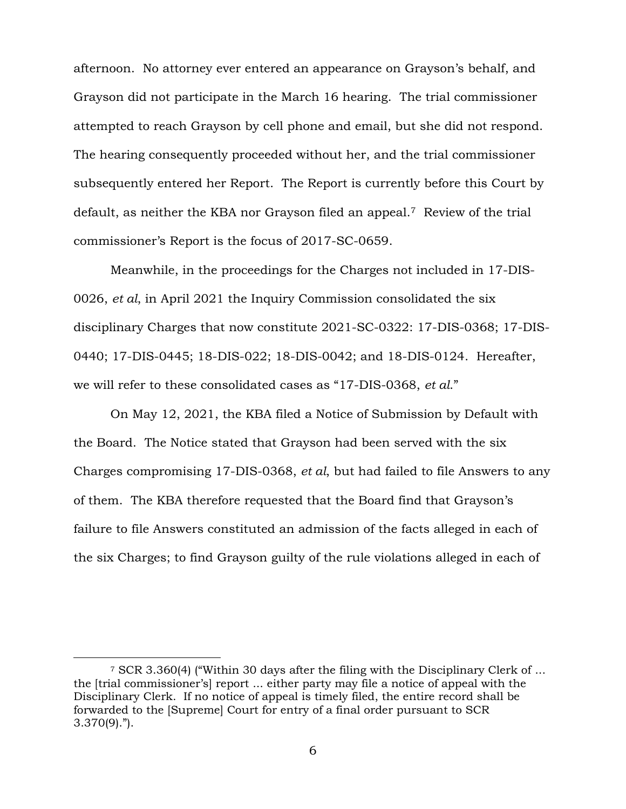afternoon. No attorney ever entered an appearance on Grayson's behalf, and Grayson did not participate in the March 16 hearing. The trial commissioner attempted to reach Grayson by cell phone and email, but she did not respond. The hearing consequently proceeded without her, and the trial commissioner subsequently entered her Report. The Report is currently before this Court by default, as neither the KBA nor Grayson filed an appeal.7 Review of the trial commissioner's Report is the focus of 2017-SC-0659.

Meanwhile, in the proceedings for the Charges not included in 17-DIS-0026, *et al*, in April 2021 the Inquiry Commission consolidated the six disciplinary Charges that now constitute 2021-SC-0322: 17-DIS-0368; 17-DIS-0440; 17-DIS-0445; 18-DIS-022; 18-DIS-0042; and 18-DIS-0124. Hereafter, we will refer to these consolidated cases as "17-DIS-0368, *et al*."

On May 12, 2021, the KBA filed a Notice of Submission by Default with the Board. The Notice stated that Grayson had been served with the six Charges compromising 17-DIS-0368, *et al*, but had failed to file Answers to any of them. The KBA therefore requested that the Board find that Grayson's failure to file Answers constituted an admission of the facts alleged in each of the six Charges; to find Grayson guilty of the rule violations alleged in each of

<sup>7</sup> SCR 3.360(4) ("Within 30 days after the filing with the Disciplinary Clerk of ... the [trial commissioner's] report ... either party may file a notice of appeal with the Disciplinary Clerk. If no notice of appeal is timely filed, the entire record shall be forwarded to the [Supreme] Court for entry of a final order pursuant to SCR 3.370(9).").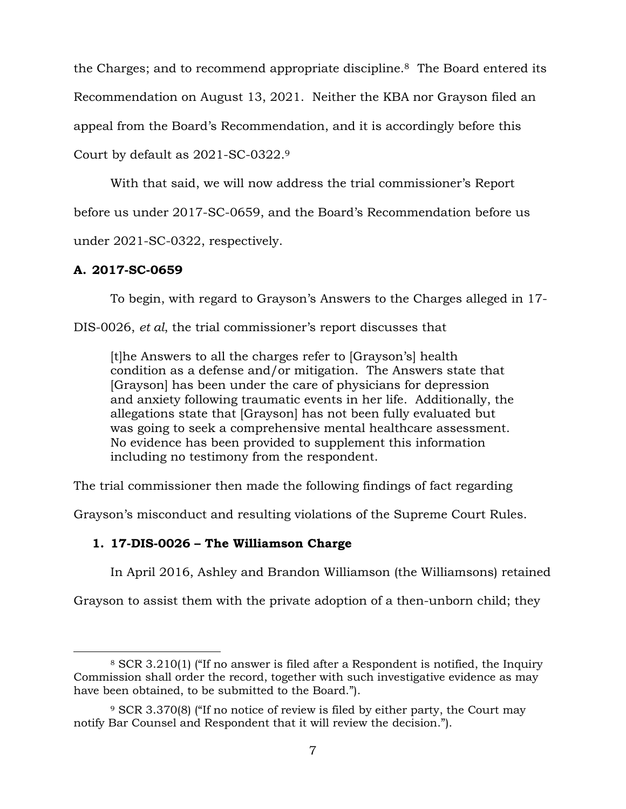the Charges; and to recommend appropriate discipline.8 The Board entered its Recommendation on August 13, 2021. Neither the KBA nor Grayson filed an appeal from the Board's Recommendation, and it is accordingly before this Court by default as 2021-SC-0322. 9

With that said, we will now address the trial commissioner's Report

before us under 2017-SC-0659, and the Board's Recommendation before us

under 2021-SC-0322, respectively.

# **A. 2017-SC-0659**

 $\overline{a}$ 

To begin, with regard to Grayson's Answers to the Charges alleged in 17-

DIS-0026, *et al*, the trial commissioner's report discusses that

[t]he Answers to all the charges refer to [Grayson's] health condition as a defense and/or mitigation. The Answers state that [Grayson] has been under the care of physicians for depression and anxiety following traumatic events in her life. Additionally, the allegations state that [Grayson] has not been fully evaluated but was going to seek a comprehensive mental healthcare assessment. No evidence has been provided to supplement this information including no testimony from the respondent.

The trial commissioner then made the following findings of fact regarding

Grayson's misconduct and resulting violations of the Supreme Court Rules.

# **1. 17-DIS-0026 – The Williamson Charge**

In April 2016, Ashley and Brandon Williamson (the Williamsons) retained

Grayson to assist them with the private adoption of a then-unborn child; they

<sup>8</sup> SCR 3.210(1) ("If no answer is filed after a Respondent is notified, the Inquiry Commission shall order the record, together with such investigative evidence as may have been obtained, to be submitted to the Board.").

<sup>9</sup> SCR 3.370(8) ("If no notice of review is filed by either party, the Court may notify Bar Counsel and Respondent that it will review the decision.").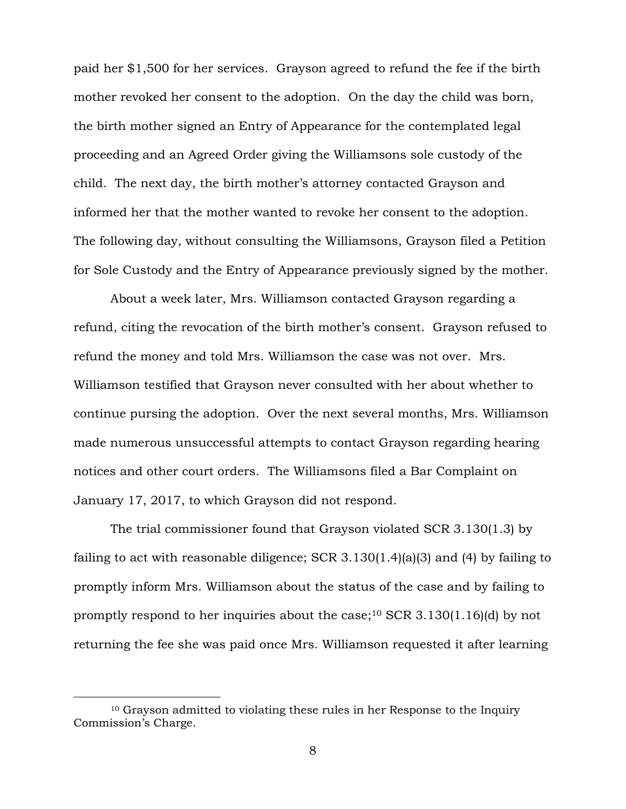paid her \$1,500 for her services. Grayson agreed to refund the fee if the birth mother revoked her consent to the adoption. On the day the child was born, the birth mother signed an Entry of Appearance for the contemplated legal proceeding and an Agreed Order giving the Williamsons sole custody of the child. The next day, the birth mother's attorney contacted Grayson and informed her that the mother wanted to revoke her consent to the adoption. The following day, without consulting the Williamsons, Grayson filed a Petition for Sole Custody and the Entry of Appearance previously signed by the mother.

About a week later, Mrs. Williamson contacted Grayson regarding a refund, citing the revocation of the birth mother's consent. Grayson refused to refund the money and told Mrs. Williamson the case was not over. Mrs. Williamson testified that Grayson never consulted with her about whether to continue pursing the adoption. Over the next several months, Mrs. Williamson made numerous unsuccessful attempts to contact Grayson regarding hearing notices and other court orders. The Williamsons filed a Bar Complaint on January 17, 2017, to which Grayson did not respond.

The trial commissioner found that Grayson violated SCR 3.130(1.3) by failing to act with reasonable diligence; SCR 3.130(1.4)(a)(3) and (4) by failing to promptly inform Mrs. Williamson about the status of the case and by failing to promptly respond to her inquiries about the case; <sup>10</sup> SCR 3.130(1.16)(d) by not returning the fee she was paid once Mrs. Williamson requested it after learning

<sup>10</sup> Grayson admitted to violating these rules in her Response to the Inquiry Commission's Charge.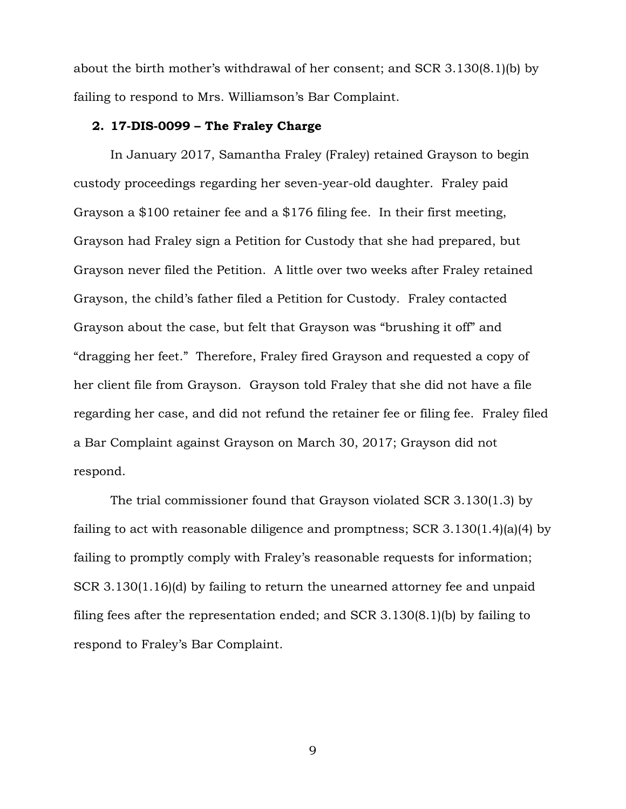about the birth mother's withdrawal of her consent; and SCR 3.130(8.1)(b) by failing to respond to Mrs. Williamson's Bar Complaint.

# **2. 17-DIS-0099 – The Fraley Charge**

In January 2017, Samantha Fraley (Fraley) retained Grayson to begin custody proceedings regarding her seven-year-old daughter. Fraley paid Grayson a \$100 retainer fee and a \$176 filing fee. In their first meeting, Grayson had Fraley sign a Petition for Custody that she had prepared, but Grayson never filed the Petition. A little over two weeks after Fraley retained Grayson, the child's father filed a Petition for Custody. Fraley contacted Grayson about the case, but felt that Grayson was "brushing it off" and "dragging her feet." Therefore, Fraley fired Grayson and requested a copy of her client file from Grayson. Grayson told Fraley that she did not have a file regarding her case, and did not refund the retainer fee or filing fee. Fraley filed a Bar Complaint against Grayson on March 30, 2017; Grayson did not respond.

The trial commissioner found that Grayson violated SCR 3.130(1.3) by failing to act with reasonable diligence and promptness; SCR 3.130(1.4)(a)(4) by failing to promptly comply with Fraley's reasonable requests for information; SCR 3.130(1.16)(d) by failing to return the unearned attorney fee and unpaid filing fees after the representation ended; and SCR 3.130(8.1)(b) by failing to respond to Fraley's Bar Complaint.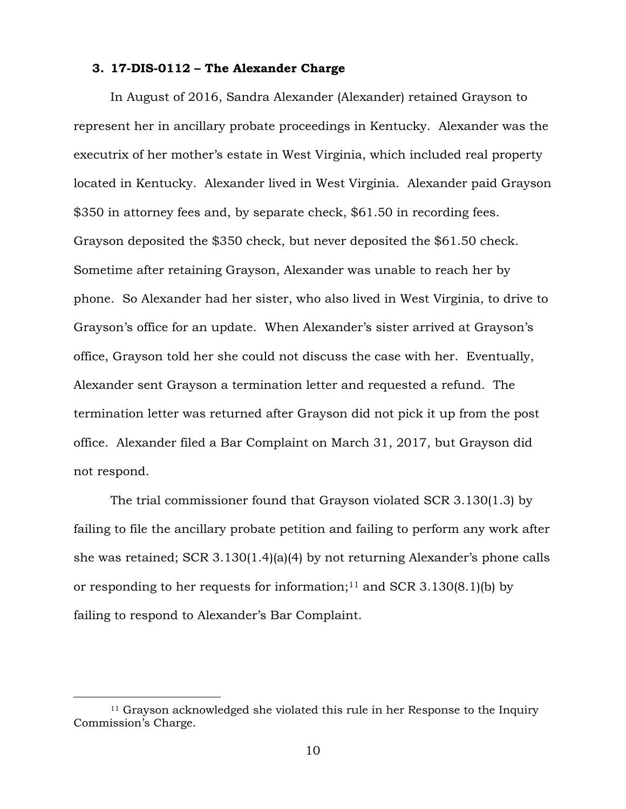# **3. 17-DIS-0112 – The Alexander Charge**

In August of 2016, Sandra Alexander (Alexander) retained Grayson to represent her in ancillary probate proceedings in Kentucky. Alexander was the executrix of her mother's estate in West Virginia, which included real property located in Kentucky. Alexander lived in West Virginia. Alexander paid Grayson \$350 in attorney fees and, by separate check, \$61.50 in recording fees. Grayson deposited the \$350 check, but never deposited the \$61.50 check. Sometime after retaining Grayson, Alexander was unable to reach her by phone. So Alexander had her sister, who also lived in West Virginia, to drive to Grayson's office for an update. When Alexander's sister arrived at Grayson's office, Grayson told her she could not discuss the case with her. Eventually, Alexander sent Grayson a termination letter and requested a refund. The termination letter was returned after Grayson did not pick it up from the post office. Alexander filed a Bar Complaint on March 31, 2017, but Grayson did not respond.

The trial commissioner found that Grayson violated SCR 3.130(1.3) by failing to file the ancillary probate petition and failing to perform any work after she was retained; SCR 3.130(1.4)(a)(4) by not returning Alexander's phone calls or responding to her requests for information;<sup>11</sup> and SCR 3.130 $(8.1)$ (b) by failing to respond to Alexander's Bar Complaint.

<sup>11</sup> Grayson acknowledged she violated this rule in her Response to the Inquiry Commission's Charge.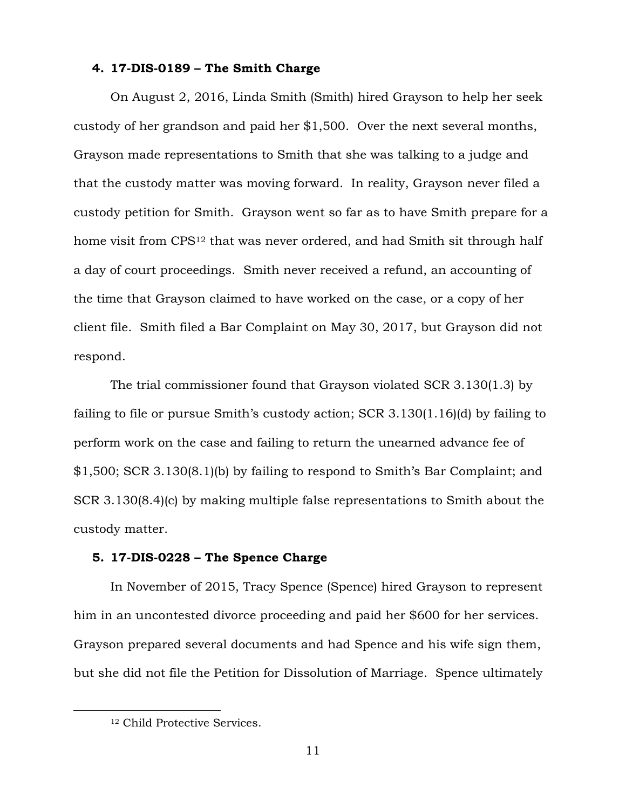# **4. 17-DIS-0189 – The Smith Charge**

On August 2, 2016, Linda Smith (Smith) hired Grayson to help her seek custody of her grandson and paid her \$1,500. Over the next several months, Grayson made representations to Smith that she was talking to a judge and that the custody matter was moving forward. In reality, Grayson never filed a custody petition for Smith. Grayson went so far as to have Smith prepare for a home visit from CPS<sup>12</sup> that was never ordered, and had Smith sit through half a day of court proceedings. Smith never received a refund, an accounting of the time that Grayson claimed to have worked on the case, or a copy of her client file. Smith filed a Bar Complaint on May 30, 2017, but Grayson did not respond.

The trial commissioner found that Grayson violated SCR 3.130(1.3) by failing to file or pursue Smith's custody action; SCR 3.130(1.16)(d) by failing to perform work on the case and failing to return the unearned advance fee of \$1,500; SCR 3.130(8.1)(b) by failing to respond to Smith's Bar Complaint; and SCR 3.130(8.4)(c) by making multiple false representations to Smith about the custody matter.

# **5. 17-DIS-0228 – The Spence Charge**

In November of 2015, Tracy Spence (Spence) hired Grayson to represent him in an uncontested divorce proceeding and paid her \$600 for her services. Grayson prepared several documents and had Spence and his wife sign them, but she did not file the Petition for Dissolution of Marriage. Spence ultimately

<sup>12</sup> Child Protective Services.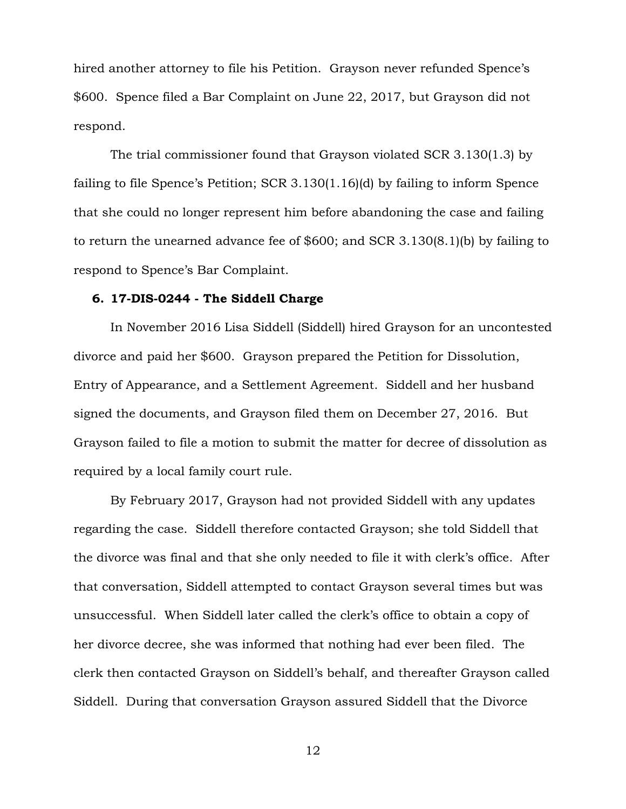hired another attorney to file his Petition. Grayson never refunded Spence's \$600. Spence filed a Bar Complaint on June 22, 2017, but Grayson did not respond.

The trial commissioner found that Grayson violated SCR 3.130(1.3) by failing to file Spence's Petition; SCR 3.130(1.16)(d) by failing to inform Spence that she could no longer represent him before abandoning the case and failing to return the unearned advance fee of \$600; and SCR 3.130(8.1)(b) by failing to respond to Spence's Bar Complaint.

# **6. 17-DIS-0244 - The Siddell Charge**

In November 2016 Lisa Siddell (Siddell) hired Grayson for an uncontested divorce and paid her \$600. Grayson prepared the Petition for Dissolution, Entry of Appearance, and a Settlement Agreement. Siddell and her husband signed the documents, and Grayson filed them on December 27, 2016. But Grayson failed to file a motion to submit the matter for decree of dissolution as required by a local family court rule.

By February 2017, Grayson had not provided Siddell with any updates regarding the case. Siddell therefore contacted Grayson; she told Siddell that the divorce was final and that she only needed to file it with clerk's office. After that conversation, Siddell attempted to contact Grayson several times but was unsuccessful. When Siddell later called the clerk's office to obtain a copy of her divorce decree, she was informed that nothing had ever been filed. The clerk then contacted Grayson on Siddell's behalf, and thereafter Grayson called Siddell. During that conversation Grayson assured Siddell that the Divorce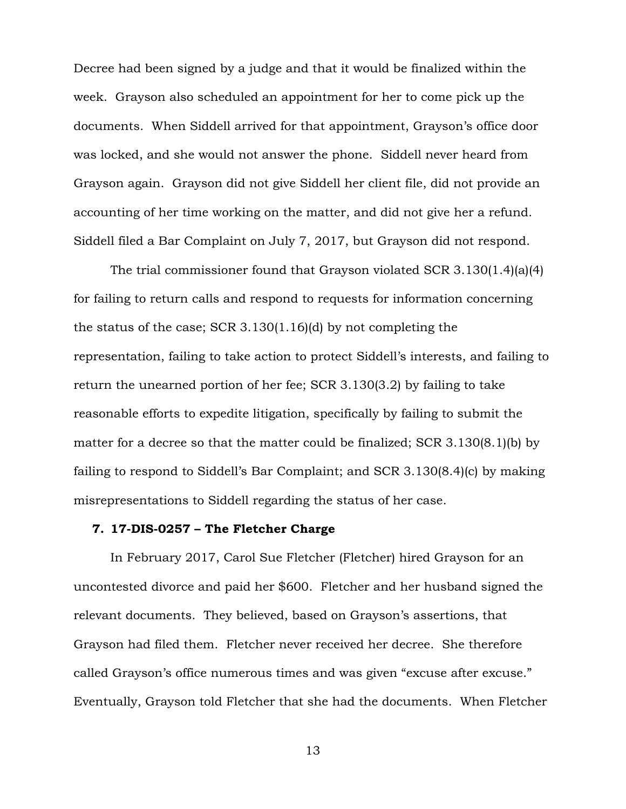Decree had been signed by a judge and that it would be finalized within the week. Grayson also scheduled an appointment for her to come pick up the documents. When Siddell arrived for that appointment, Grayson's office door was locked, and she would not answer the phone. Siddell never heard from Grayson again. Grayson did not give Siddell her client file, did not provide an accounting of her time working on the matter, and did not give her a refund. Siddell filed a Bar Complaint on July 7, 2017, but Grayson did not respond.

The trial commissioner found that Grayson violated SCR 3.130(1.4)(a)(4) for failing to return calls and respond to requests for information concerning the status of the case; SCR 3.130(1.16)(d) by not completing the representation, failing to take action to protect Siddell's interests, and failing to return the unearned portion of her fee; SCR 3.130(3.2) by failing to take reasonable efforts to expedite litigation, specifically by failing to submit the matter for a decree so that the matter could be finalized; SCR 3.130(8.1)(b) by failing to respond to Siddell's Bar Complaint; and SCR 3.130(8.4)(c) by making misrepresentations to Siddell regarding the status of her case.

# **7. 17-DIS-0257 – The Fletcher Charge**

In February 2017, Carol Sue Fletcher (Fletcher) hired Grayson for an uncontested divorce and paid her \$600. Fletcher and her husband signed the relevant documents. They believed, based on Grayson's assertions, that Grayson had filed them. Fletcher never received her decree. She therefore called Grayson's office numerous times and was given "excuse after excuse." Eventually, Grayson told Fletcher that she had the documents. When Fletcher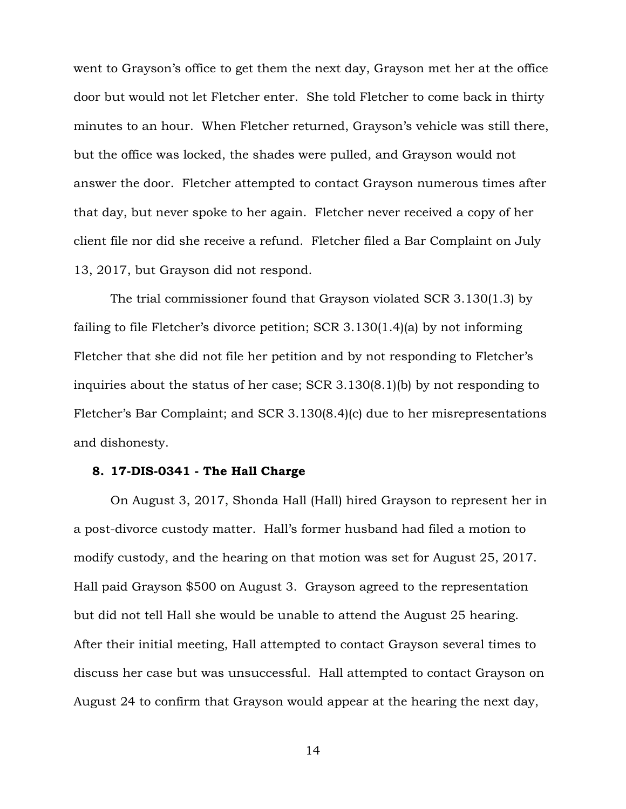went to Grayson's office to get them the next day, Grayson met her at the office door but would not let Fletcher enter. She told Fletcher to come back in thirty minutes to an hour. When Fletcher returned, Grayson's vehicle was still there, but the office was locked, the shades were pulled, and Grayson would not answer the door. Fletcher attempted to contact Grayson numerous times after that day, but never spoke to her again. Fletcher never received a copy of her client file nor did she receive a refund. Fletcher filed a Bar Complaint on July 13, 2017, but Grayson did not respond.

The trial commissioner found that Grayson violated SCR 3.130(1.3) by failing to file Fletcher's divorce petition; SCR 3.130(1.4)(a) by not informing Fletcher that she did not file her petition and by not responding to Fletcher's inquiries about the status of her case; SCR 3.130(8.1)(b) by not responding to Fletcher's Bar Complaint; and SCR 3.130(8.4)(c) due to her misrepresentations and dishonesty.

# **8. 17-DIS-0341 - The Hall Charge**

On August 3, 2017, Shonda Hall (Hall) hired Grayson to represent her in a post-divorce custody matter. Hall's former husband had filed a motion to modify custody, and the hearing on that motion was set for August 25, 2017. Hall paid Grayson \$500 on August 3. Grayson agreed to the representation but did not tell Hall she would be unable to attend the August 25 hearing. After their initial meeting, Hall attempted to contact Grayson several times to discuss her case but was unsuccessful. Hall attempted to contact Grayson on August 24 to confirm that Grayson would appear at the hearing the next day,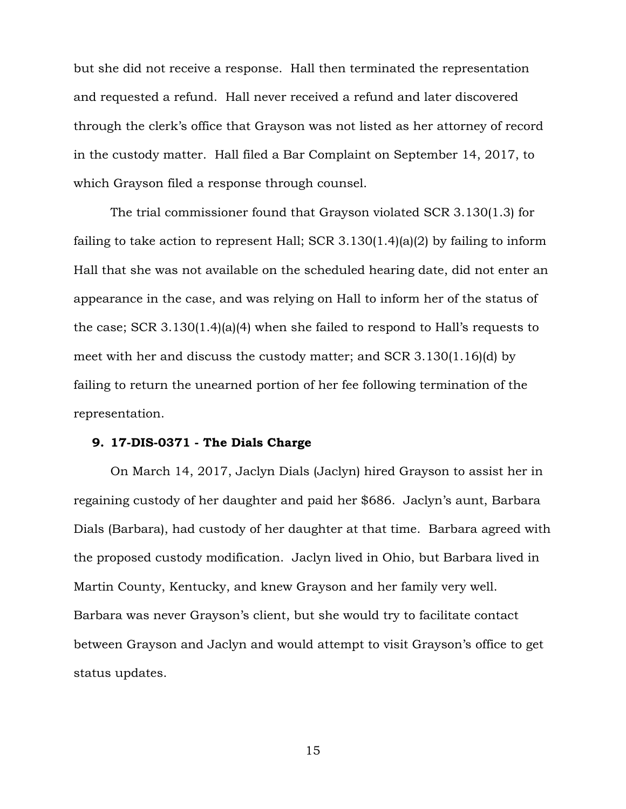but she did not receive a response. Hall then terminated the representation and requested a refund. Hall never received a refund and later discovered through the clerk's office that Grayson was not listed as her attorney of record in the custody matter. Hall filed a Bar Complaint on September 14, 2017, to which Grayson filed a response through counsel.

The trial commissioner found that Grayson violated SCR 3.130(1.3) for failing to take action to represent Hall; SCR 3.130 $(1.4)(a)(2)$  by failing to inform Hall that she was not available on the scheduled hearing date, did not enter an appearance in the case, and was relying on Hall to inform her of the status of the case; SCR 3.130(1.4)(a)(4) when she failed to respond to Hall's requests to meet with her and discuss the custody matter; and SCR 3.130(1.16)(d) by failing to return the unearned portion of her fee following termination of the representation.

#### **9. 17-DIS-0371 - The Dials Charge**

On March 14, 2017, Jaclyn Dials (Jaclyn) hired Grayson to assist her in regaining custody of her daughter and paid her \$686. Jaclyn's aunt, Barbara Dials (Barbara), had custody of her daughter at that time. Barbara agreed with the proposed custody modification. Jaclyn lived in Ohio, but Barbara lived in Martin County, Kentucky, and knew Grayson and her family very well. Barbara was never Grayson's client, but she would try to facilitate contact between Grayson and Jaclyn and would attempt to visit Grayson's office to get status updates.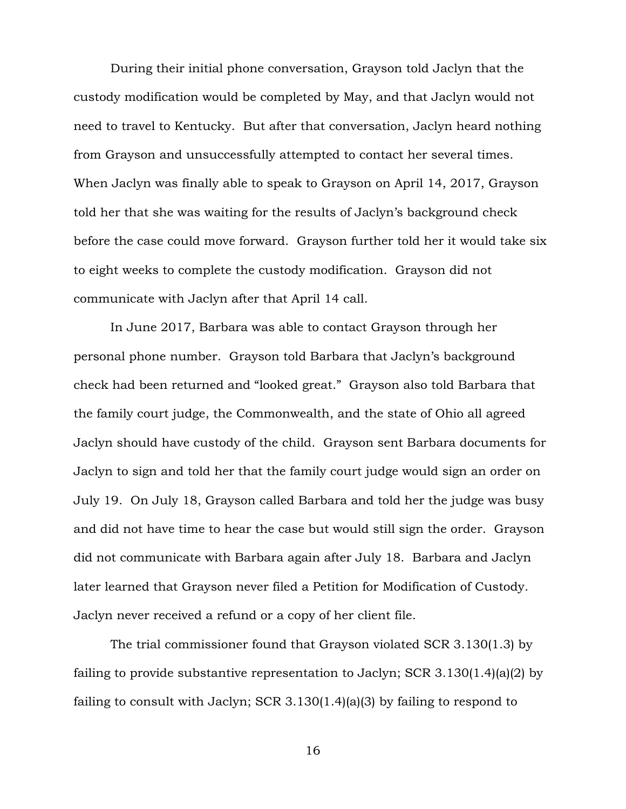During their initial phone conversation, Grayson told Jaclyn that the custody modification would be completed by May, and that Jaclyn would not need to travel to Kentucky. But after that conversation, Jaclyn heard nothing from Grayson and unsuccessfully attempted to contact her several times. When Jaclyn was finally able to speak to Grayson on April 14, 2017, Grayson told her that she was waiting for the results of Jaclyn's background check before the case could move forward. Grayson further told her it would take six to eight weeks to complete the custody modification. Grayson did not communicate with Jaclyn after that April 14 call.

In June 2017, Barbara was able to contact Grayson through her personal phone number. Grayson told Barbara that Jaclyn's background check had been returned and "looked great." Grayson also told Barbara that the family court judge, the Commonwealth, and the state of Ohio all agreed Jaclyn should have custody of the child. Grayson sent Barbara documents for Jaclyn to sign and told her that the family court judge would sign an order on July 19. On July 18, Grayson called Barbara and told her the judge was busy and did not have time to hear the case but would still sign the order. Grayson did not communicate with Barbara again after July 18. Barbara and Jaclyn later learned that Grayson never filed a Petition for Modification of Custody. Jaclyn never received a refund or a copy of her client file.

The trial commissioner found that Grayson violated SCR 3.130(1.3) by failing to provide substantive representation to Jaclyn; SCR 3.130(1.4)(a)(2) by failing to consult with Jaclyn; SCR 3.130(1.4)(a)(3) by failing to respond to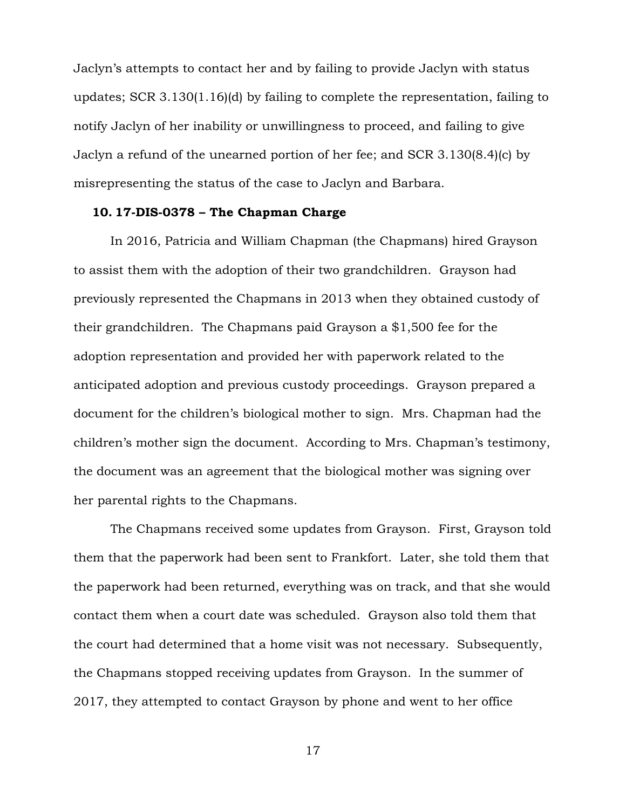Jaclyn's attempts to contact her and by failing to provide Jaclyn with status updates; SCR 3.130(1.16)(d) by failing to complete the representation, failing to notify Jaclyn of her inability or unwillingness to proceed, and failing to give Jaclyn a refund of the unearned portion of her fee; and SCR 3.130(8.4)(c) by misrepresenting the status of the case to Jaclyn and Barbara.

#### **10. 17-DIS-0378 – The Chapman Charge**

In 2016, Patricia and William Chapman (the Chapmans) hired Grayson to assist them with the adoption of their two grandchildren. Grayson had previously represented the Chapmans in 2013 when they obtained custody of their grandchildren. The Chapmans paid Grayson a \$1,500 fee for the adoption representation and provided her with paperwork related to the anticipated adoption and previous custody proceedings. Grayson prepared a document for the children's biological mother to sign. Mrs. Chapman had the children's mother sign the document. According to Mrs. Chapman's testimony, the document was an agreement that the biological mother was signing over her parental rights to the Chapmans.

The Chapmans received some updates from Grayson. First, Grayson told them that the paperwork had been sent to Frankfort. Later, she told them that the paperwork had been returned, everything was on track, and that she would contact them when a court date was scheduled. Grayson also told them that the court had determined that a home visit was not necessary. Subsequently, the Chapmans stopped receiving updates from Grayson. In the summer of 2017, they attempted to contact Grayson by phone and went to her office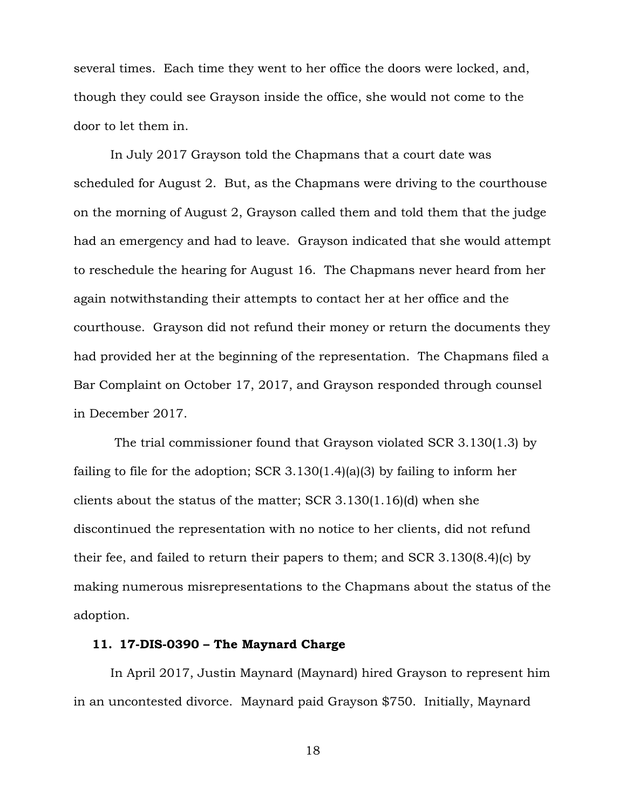several times. Each time they went to her office the doors were locked, and, though they could see Grayson inside the office, she would not come to the door to let them in.

In July 2017 Grayson told the Chapmans that a court date was scheduled for August 2. But, as the Chapmans were driving to the courthouse on the morning of August 2, Grayson called them and told them that the judge had an emergency and had to leave. Grayson indicated that she would attempt to reschedule the hearing for August 16. The Chapmans never heard from her again notwithstanding their attempts to contact her at her office and the courthouse. Grayson did not refund their money or return the documents they had provided her at the beginning of the representation. The Chapmans filed a Bar Complaint on October 17, 2017, and Grayson responded through counsel in December 2017.

The trial commissioner found that Grayson violated SCR 3.130(1.3) by failing to file for the adoption; SCR 3.130(1.4)(a)(3) by failing to inform her clients about the status of the matter; SCR 3.130(1.16)(d) when she discontinued the representation with no notice to her clients, did not refund their fee, and failed to return their papers to them; and SCR 3.130(8.4)(c) by making numerous misrepresentations to the Chapmans about the status of the adoption.

### **11. 17-DIS-0390 – The Maynard Charge**

In April 2017, Justin Maynard (Maynard) hired Grayson to represent him in an uncontested divorce. Maynard paid Grayson \$750. Initially, Maynard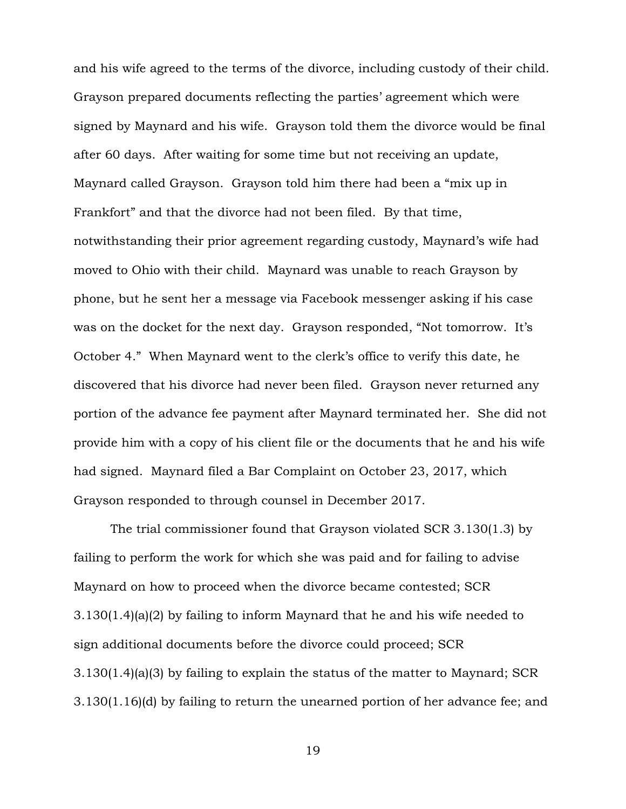and his wife agreed to the terms of the divorce, including custody of their child. Grayson prepared documents reflecting the parties' agreement which were signed by Maynard and his wife. Grayson told them the divorce would be final after 60 days. After waiting for some time but not receiving an update, Maynard called Grayson. Grayson told him there had been a "mix up in Frankfort" and that the divorce had not been filed. By that time, notwithstanding their prior agreement regarding custody, Maynard's wife had moved to Ohio with their child. Maynard was unable to reach Grayson by phone, but he sent her a message via Facebook messenger asking if his case was on the docket for the next day. Grayson responded, "Not tomorrow. It's October 4." When Maynard went to the clerk's office to verify this date, he discovered that his divorce had never been filed. Grayson never returned any portion of the advance fee payment after Maynard terminated her. She did not provide him with a copy of his client file or the documents that he and his wife had signed. Maynard filed a Bar Complaint on October 23, 2017, which Grayson responded to through counsel in December 2017.

The trial commissioner found that Grayson violated SCR 3.130(1.3) by failing to perform the work for which she was paid and for failing to advise Maynard on how to proceed when the divorce became contested; SCR 3.130(1.4)(a)(2) by failing to inform Maynard that he and his wife needed to sign additional documents before the divorce could proceed; SCR 3.130(1.4)(a)(3) by failing to explain the status of the matter to Maynard; SCR 3.130(1.16)(d) by failing to return the unearned portion of her advance fee; and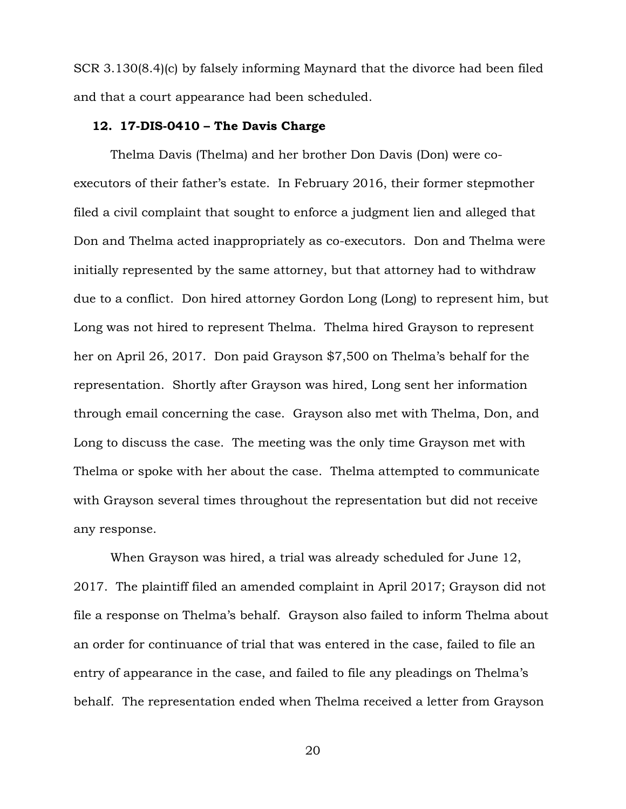SCR 3.130(8.4)(c) by falsely informing Maynard that the divorce had been filed and that a court appearance had been scheduled.

# **12. 17-DIS-0410 – The Davis Charge**

Thelma Davis (Thelma) and her brother Don Davis (Don) were coexecutors of their father's estate. In February 2016, their former stepmother filed a civil complaint that sought to enforce a judgment lien and alleged that Don and Thelma acted inappropriately as co-executors. Don and Thelma were initially represented by the same attorney, but that attorney had to withdraw due to a conflict. Don hired attorney Gordon Long (Long) to represent him, but Long was not hired to represent Thelma. Thelma hired Grayson to represent her on April 26, 2017. Don paid Grayson \$7,500 on Thelma's behalf for the representation. Shortly after Grayson was hired, Long sent her information through email concerning the case. Grayson also met with Thelma, Don, and Long to discuss the case. The meeting was the only time Grayson met with Thelma or spoke with her about the case. Thelma attempted to communicate with Grayson several times throughout the representation but did not receive any response.

When Grayson was hired, a trial was already scheduled for June 12, 2017. The plaintiff filed an amended complaint in April 2017; Grayson did not file a response on Thelma's behalf. Grayson also failed to inform Thelma about an order for continuance of trial that was entered in the case, failed to file an entry of appearance in the case, and failed to file any pleadings on Thelma's behalf. The representation ended when Thelma received a letter from Grayson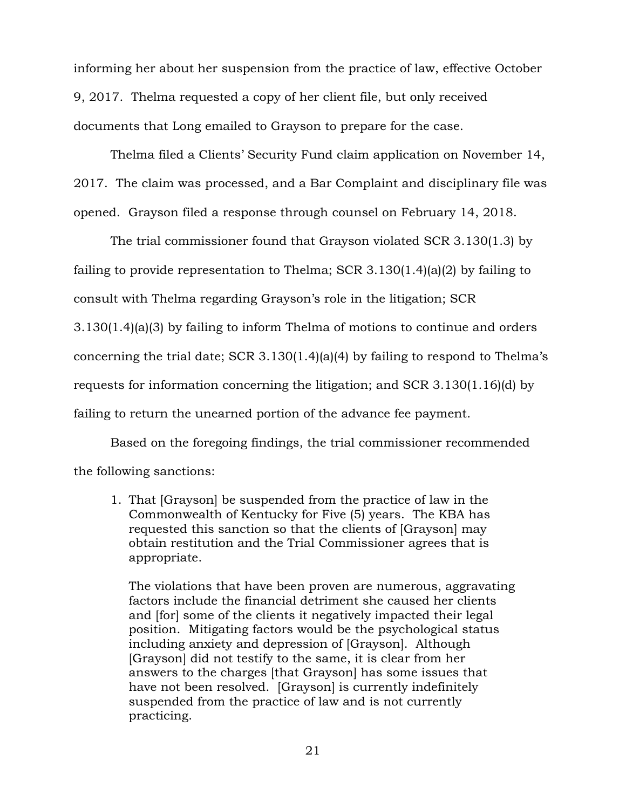informing her about her suspension from the practice of law, effective October 9, 2017. Thelma requested a copy of her client file, but only received documents that Long emailed to Grayson to prepare for the case.

Thelma filed a Clients' Security Fund claim application on November 14, 2017. The claim was processed, and a Bar Complaint and disciplinary file was opened. Grayson filed a response through counsel on February 14, 2018.

The trial commissioner found that Grayson violated SCR 3.130(1.3) by failing to provide representation to Thelma; SCR 3.130(1.4)(a)(2) by failing to consult with Thelma regarding Grayson's role in the litigation; SCR 3.130(1.4)(a)(3) by failing to inform Thelma of motions to continue and orders concerning the trial date; SCR 3.130(1.4)(a)(4) by failing to respond to Thelma's requests for information concerning the litigation; and SCR 3.130(1.16)(d) by failing to return the unearned portion of the advance fee payment.

Based on the foregoing findings, the trial commissioner recommended the following sanctions:

1. That [Grayson] be suspended from the practice of law in the Commonwealth of Kentucky for Five (5) years. The KBA has requested this sanction so that the clients of [Grayson] may obtain restitution and the Trial Commissioner agrees that is appropriate.

The violations that have been proven are numerous, aggravating factors include the financial detriment she caused her clients and [for] some of the clients it negatively impacted their legal position. Mitigating factors would be the psychological status including anxiety and depression of [Grayson]. Although [Grayson] did not testify to the same, it is clear from her answers to the charges [that Grayson] has some issues that have not been resolved. [Grayson] is currently indefinitely suspended from the practice of law and is not currently practicing.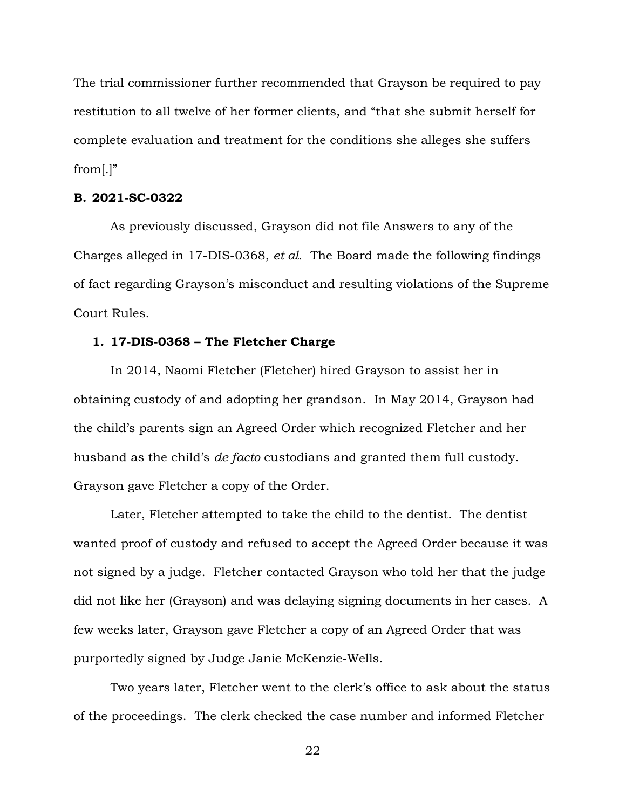The trial commissioner further recommended that Grayson be required to pay restitution to all twelve of her former clients, and "that she submit herself for complete evaluation and treatment for the conditions she alleges she suffers from[.]"

# **B. 2021-SC-0322**

As previously discussed, Grayson did not file Answers to any of the Charges alleged in 17-DIS-0368, *et al*. The Board made the following findings of fact regarding Grayson's misconduct and resulting violations of the Supreme Court Rules.

#### **1. 17-DIS-0368 – The Fletcher Charge**

In 2014, Naomi Fletcher (Fletcher) hired Grayson to assist her in obtaining custody of and adopting her grandson. In May 2014, Grayson had the child's parents sign an Agreed Order which recognized Fletcher and her husband as the child's *de facto* custodians and granted them full custody. Grayson gave Fletcher a copy of the Order.

Later, Fletcher attempted to take the child to the dentist. The dentist wanted proof of custody and refused to accept the Agreed Order because it was not signed by a judge. Fletcher contacted Grayson who told her that the judge did not like her (Grayson) and was delaying signing documents in her cases. A few weeks later, Grayson gave Fletcher a copy of an Agreed Order that was purportedly signed by Judge Janie McKenzie-Wells.

Two years later, Fletcher went to the clerk's office to ask about the status of the proceedings. The clerk checked the case number and informed Fletcher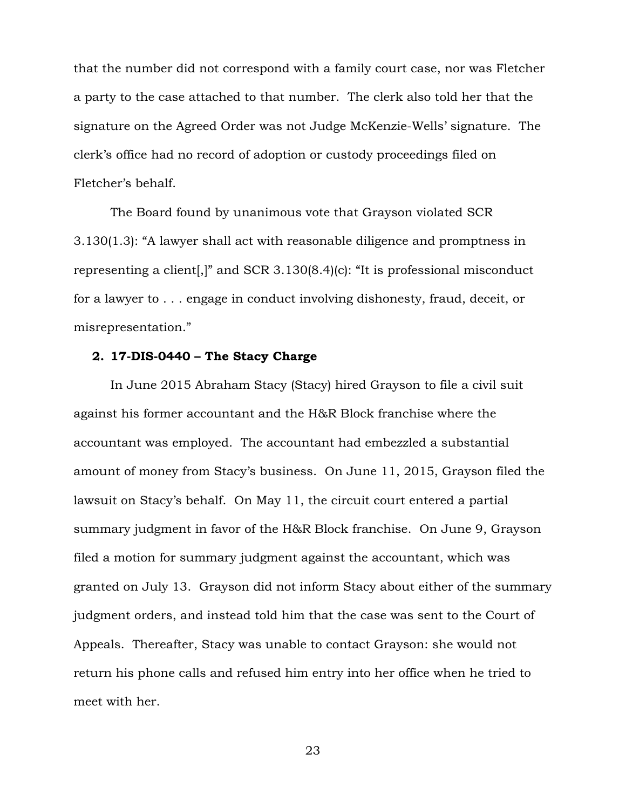that the number did not correspond with a family court case, nor was Fletcher a party to the case attached to that number. The clerk also told her that the signature on the Agreed Order was not Judge McKenzie-Wells' signature. The clerk's office had no record of adoption or custody proceedings filed on Fletcher's behalf.

The Board found by unanimous vote that Grayson violated SCR 3.130(1.3): "A lawyer shall act with reasonable diligence and promptness in representing a client[,]" and SCR 3.130(8.4)(c): "It is professional misconduct for a lawyer to . . . engage in conduct involving dishonesty, fraud, deceit, or misrepresentation."

### **2. 17-DIS-0440 – The Stacy Charge**

In June 2015 Abraham Stacy (Stacy) hired Grayson to file a civil suit against his former accountant and the H&R Block franchise where the accountant was employed. The accountant had embezzled a substantial amount of money from Stacy's business. On June 11, 2015, Grayson filed the lawsuit on Stacy's behalf. On May 11, the circuit court entered a partial summary judgment in favor of the H&R Block franchise. On June 9, Grayson filed a motion for summary judgment against the accountant, which was granted on July 13. Grayson did not inform Stacy about either of the summary judgment orders, and instead told him that the case was sent to the Court of Appeals. Thereafter, Stacy was unable to contact Grayson: she would not return his phone calls and refused him entry into her office when he tried to meet with her.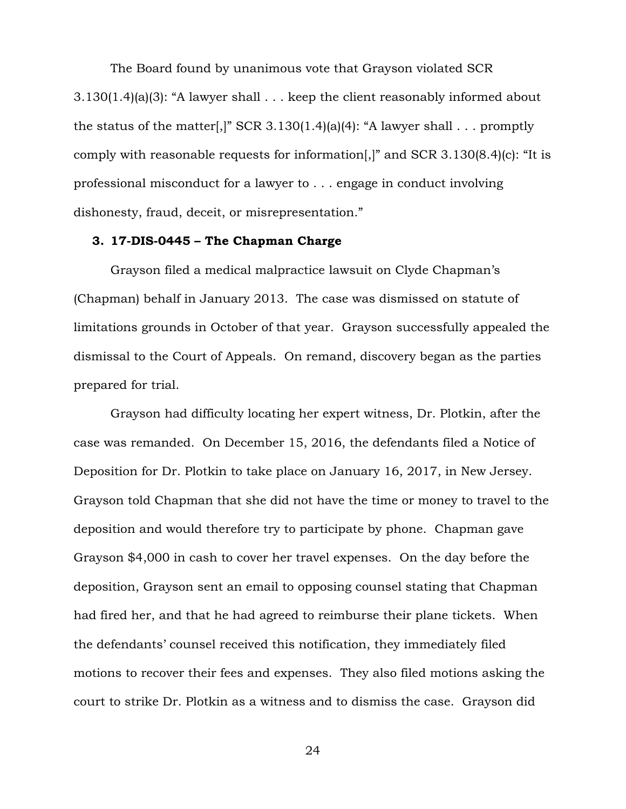The Board found by unanimous vote that Grayson violated SCR 3.130(1.4)(a)(3): "A lawyer shall . . . keep the client reasonably informed about the status of the matter[,]" SCR 3.130(1.4)(a)(4): "A lawyer shall . . . promptly comply with reasonable requests for information[,]" and SCR 3.130(8.4)(c): "It is professional misconduct for a lawyer to . . . engage in conduct involving dishonesty, fraud, deceit, or misrepresentation."

#### **3. 17-DIS-0445 – The Chapman Charge**

Grayson filed a medical malpractice lawsuit on Clyde Chapman's (Chapman) behalf in January 2013. The case was dismissed on statute of limitations grounds in October of that year. Grayson successfully appealed the dismissal to the Court of Appeals. On remand, discovery began as the parties prepared for trial.

Grayson had difficulty locating her expert witness, Dr. Plotkin, after the case was remanded. On December 15, 2016, the defendants filed a Notice of Deposition for Dr. Plotkin to take place on January 16, 2017, in New Jersey. Grayson told Chapman that she did not have the time or money to travel to the deposition and would therefore try to participate by phone. Chapman gave Grayson \$4,000 in cash to cover her travel expenses. On the day before the deposition, Grayson sent an email to opposing counsel stating that Chapman had fired her, and that he had agreed to reimburse their plane tickets. When the defendants' counsel received this notification, they immediately filed motions to recover their fees and expenses. They also filed motions asking the court to strike Dr. Plotkin as a witness and to dismiss the case. Grayson did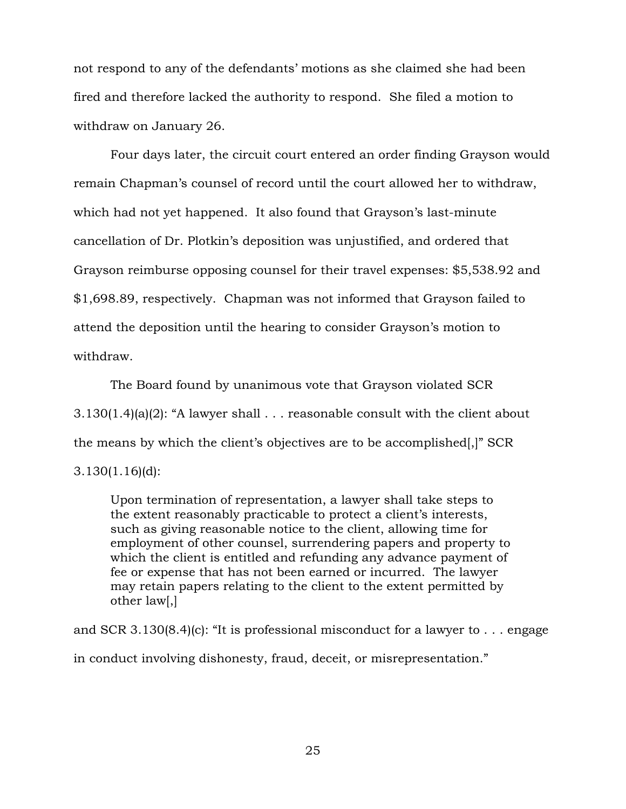not respond to any of the defendants' motions as she claimed she had been fired and therefore lacked the authority to respond. She filed a motion to withdraw on January 26.

Four days later, the circuit court entered an order finding Grayson would remain Chapman's counsel of record until the court allowed her to withdraw, which had not yet happened. It also found that Grayson's last-minute cancellation of Dr. Plotkin's deposition was unjustified, and ordered that Grayson reimburse opposing counsel for their travel expenses: \$5,538.92 and \$1,698.89, respectively. Chapman was not informed that Grayson failed to attend the deposition until the hearing to consider Grayson's motion to withdraw.

The Board found by unanimous vote that Grayson violated SCR 3.130(1.4)(a)(2): "A lawyer shall . . . reasonable consult with the client about the means by which the client's objectives are to be accomplished[,]" SCR 3.130(1.16)(d):

Upon termination of representation, a lawyer shall take steps to the extent reasonably practicable to protect a client's interests, such as giving reasonable notice to the client, allowing time for employment of other counsel, surrendering papers and property to which the client is entitled and refunding any advance payment of fee or expense that has not been earned or incurred. The lawyer may retain papers relating to the client to the extent permitted by other law[,]

and SCR 3.130 $(8.4)(c)$ : "It is professional misconduct for a lawyer to ... engage in conduct involving dishonesty, fraud, deceit, or misrepresentation."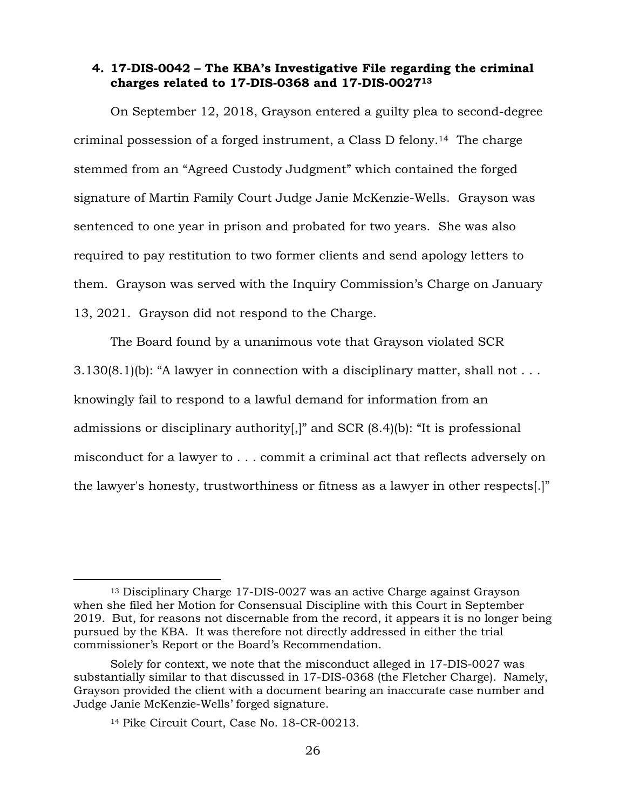# **4. 17-DIS-0042 – The KBA's Investigative File regarding the criminal charges related to 17-DIS-0368 and 17-DIS-0027<sup>13</sup>**

On September 12, 2018, Grayson entered a guilty plea to second-degree criminal possession of a forged instrument, a Class D felony.14 The charge stemmed from an "Agreed Custody Judgment" which contained the forged signature of Martin Family Court Judge Janie McKenzie-Wells. Grayson was sentenced to one year in prison and probated for two years. She was also required to pay restitution to two former clients and send apology letters to them. Grayson was served with the Inquiry Commission's Charge on January 13, 2021. Grayson did not respond to the Charge.

The Board found by a unanimous vote that Grayson violated SCR  $3.130(8.1)$ (b): "A lawyer in connection with a disciplinary matter, shall not ... knowingly fail to respond to a lawful demand for information from an admissions or disciplinary authority[,]" and SCR (8.4)(b): "It is professional misconduct for a lawyer to . . . commit a criminal act that reflects adversely on the lawyer's honesty, trustworthiness or fitness as a lawyer in other respects[.]"

<sup>13</sup> Disciplinary Charge 17-DIS-0027 was an active Charge against Grayson when she filed her Motion for Consensual Discipline with this Court in September 2019. But, for reasons not discernable from the record, it appears it is no longer being pursued by the KBA. It was therefore not directly addressed in either the trial commissioner's Report or the Board's Recommendation.

Solely for context, we note that the misconduct alleged in 17-DIS-0027 was substantially similar to that discussed in 17-DIS-0368 (the Fletcher Charge). Namely, Grayson provided the client with a document bearing an inaccurate case number and Judge Janie McKenzie-Wells' forged signature.

<sup>14</sup> Pike Circuit Court, Case No. 18-CR-00213.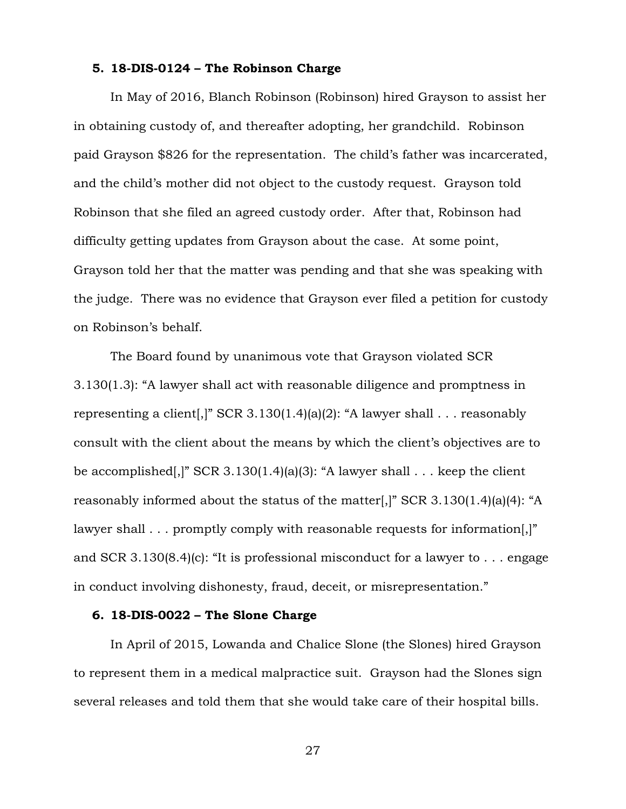# **5. 18-DIS-0124 – The Robinson Charge**

In May of 2016, Blanch Robinson (Robinson) hired Grayson to assist her in obtaining custody of, and thereafter adopting, her grandchild. Robinson paid Grayson \$826 for the representation. The child's father was incarcerated, and the child's mother did not object to the custody request. Grayson told Robinson that she filed an agreed custody order. After that, Robinson had difficulty getting updates from Grayson about the case. At some point, Grayson told her that the matter was pending and that she was speaking with the judge. There was no evidence that Grayson ever filed a petition for custody on Robinson's behalf.

The Board found by unanimous vote that Grayson violated SCR 3.130(1.3): "A lawyer shall act with reasonable diligence and promptness in representing a client[,]" SCR 3.130(1.4)(a)(2): "A lawyer shall . . . reasonably consult with the client about the means by which the client's objectives are to be accomplished[,]" SCR 3.130(1.4)(a)(3): "A lawyer shall  $\ldots$  keep the client reasonably informed about the status of the matter[,]" SCR 3.130(1.4)(a)(4): "A lawyer shall . . . promptly comply with reasonable requests for information. and SCR 3.130(8.4)(c): "It is professional misconduct for a lawyer to . . . engage in conduct involving dishonesty, fraud, deceit, or misrepresentation."

#### **6. 18-DIS-0022 – The Slone Charge**

In April of 2015, Lowanda and Chalice Slone (the Slones) hired Grayson to represent them in a medical malpractice suit. Grayson had the Slones sign several releases and told them that she would take care of their hospital bills.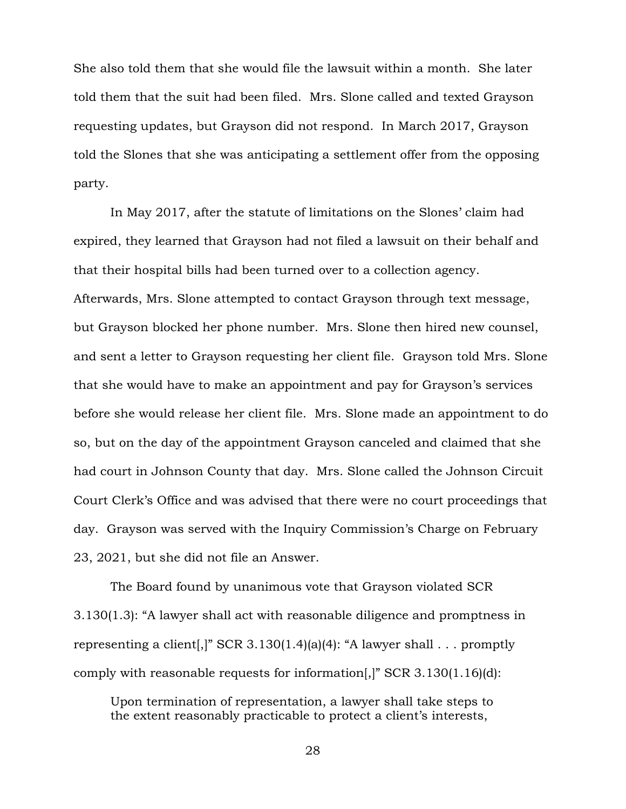She also told them that she would file the lawsuit within a month. She later told them that the suit had been filed. Mrs. Slone called and texted Grayson requesting updates, but Grayson did not respond. In March 2017, Grayson told the Slones that she was anticipating a settlement offer from the opposing party.

In May 2017, after the statute of limitations on the Slones' claim had expired, they learned that Grayson had not filed a lawsuit on their behalf and that their hospital bills had been turned over to a collection agency. Afterwards, Mrs. Slone attempted to contact Grayson through text message, but Grayson blocked her phone number. Mrs. Slone then hired new counsel, and sent a letter to Grayson requesting her client file. Grayson told Mrs. Slone that she would have to make an appointment and pay for Grayson's services before she would release her client file. Mrs. Slone made an appointment to do so, but on the day of the appointment Grayson canceled and claimed that she had court in Johnson County that day. Mrs. Slone called the Johnson Circuit Court Clerk's Office and was advised that there were no court proceedings that day. Grayson was served with the Inquiry Commission's Charge on February 23, 2021, but she did not file an Answer.

The Board found by unanimous vote that Grayson violated SCR 3.130(1.3): "A lawyer shall act with reasonable diligence and promptness in representing a client[,]" SCR 3.130(1.4)(a)(4): "A lawyer shall . . . promptly comply with reasonable requests for information[,]" SCR 3.130(1.16)(d):

Upon termination of representation, a lawyer shall take steps to the extent reasonably practicable to protect a client's interests,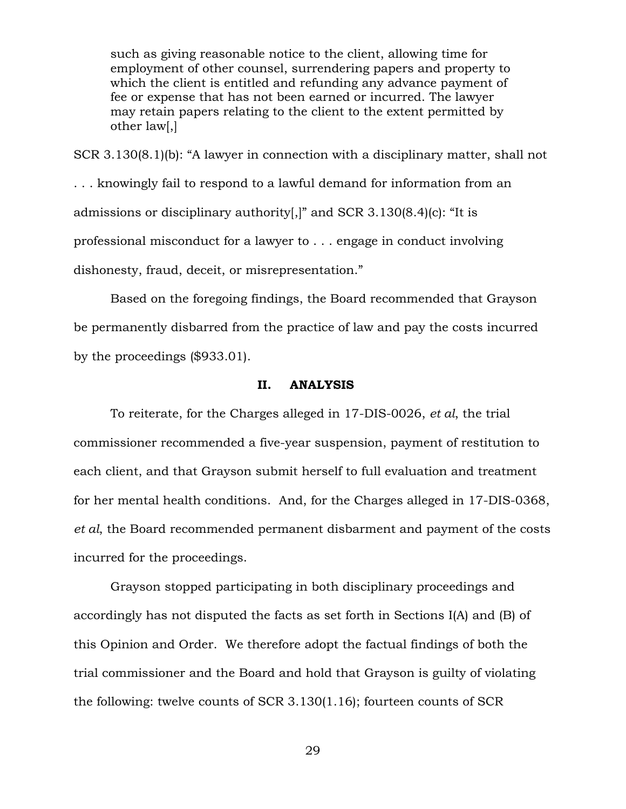such as giving reasonable notice to the client, allowing time for employment of other counsel, surrendering papers and property to which the client is entitled and refunding any advance payment of fee or expense that has not been earned or incurred. The lawyer may retain papers relating to the client to the extent permitted by other law[,]

SCR 3.130(8.1)(b): "A lawyer in connection with a disciplinary matter, shall not . . . knowingly fail to respond to a lawful demand for information from an admissions or disciplinary authority[,]" and SCR 3.130(8.4)(c): "It is professional misconduct for a lawyer to . . . engage in conduct involving dishonesty, fraud, deceit, or misrepresentation."

Based on the foregoing findings, the Board recommended that Grayson be permanently disbarred from the practice of law and pay the costs incurred by the proceedings (\$933.01).

# **II. ANALYSIS**

To reiterate, for the Charges alleged in 17-DIS-0026, *et al*, the trial commissioner recommended a five-year suspension, payment of restitution to each client, and that Grayson submit herself to full evaluation and treatment for her mental health conditions. And, for the Charges alleged in 17-DIS-0368, *et al*, the Board recommended permanent disbarment and payment of the costs incurred for the proceedings.

Grayson stopped participating in both disciplinary proceedings and accordingly has not disputed the facts as set forth in Sections I(A) and (B) of this Opinion and Order. We therefore adopt the factual findings of both the trial commissioner and the Board and hold that Grayson is guilty of violating the following: twelve counts of SCR 3.130(1.16); fourteen counts of SCR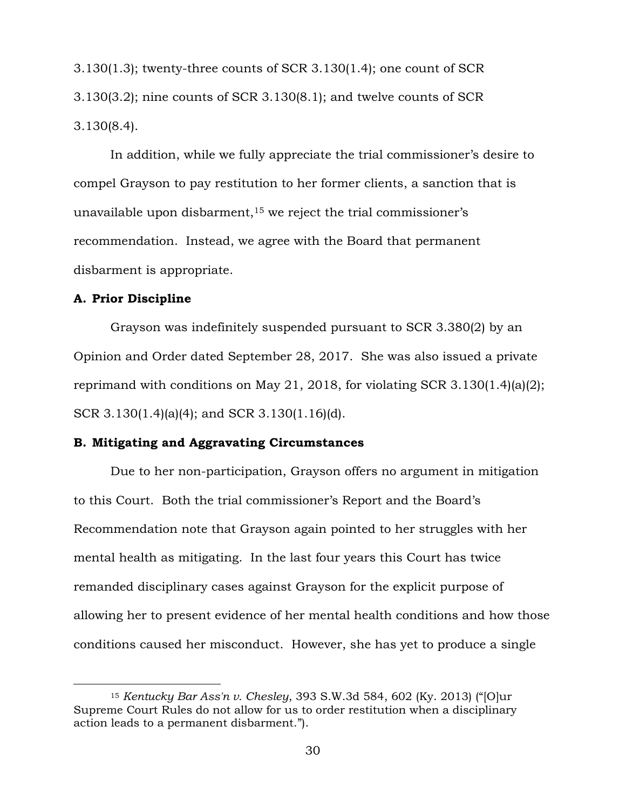3.130(1.3); twenty-three counts of SCR 3.130(1.4); one count of SCR 3.130(3.2); nine counts of SCR 3.130(8.1); and twelve counts of SCR 3.130(8.4).

In addition, while we fully appreciate the trial commissioner's desire to compel Grayson to pay restitution to her former clients, a sanction that is unavailable upon disbarment,  $15$  we reject the trial commissioner's recommendation. Instead, we agree with the Board that permanent disbarment is appropriate.

#### **A. Prior Discipline**

 $\overline{a}$ 

Grayson was indefinitely suspended pursuant to SCR 3.380(2) by an Opinion and Order dated September 28, 2017. She was also issued a private reprimand with conditions on May 21, 2018, for violating SCR 3.130(1.4)(a)(2); SCR 3.130(1.4)(a)(4); and SCR 3.130(1.16)(d).

#### **B. Mitigating and Aggravating Circumstances**

Due to her non-participation, Grayson offers no argument in mitigation to this Court. Both the trial commissioner's Report and the Board's Recommendation note that Grayson again pointed to her struggles with her mental health as mitigating. In the last four years this Court has twice remanded disciplinary cases against Grayson for the explicit purpose of allowing her to present evidence of her mental health conditions and how those conditions caused her misconduct. However, she has yet to produce a single

<sup>15</sup> *Kentucky Bar Ass'n v. Chesley*, 393 S.W.3d 584, 602 (Ky. 2013) ("[O]ur Supreme Court Rules do not allow for us to order restitution when a disciplinary action leads to a permanent disbarment.").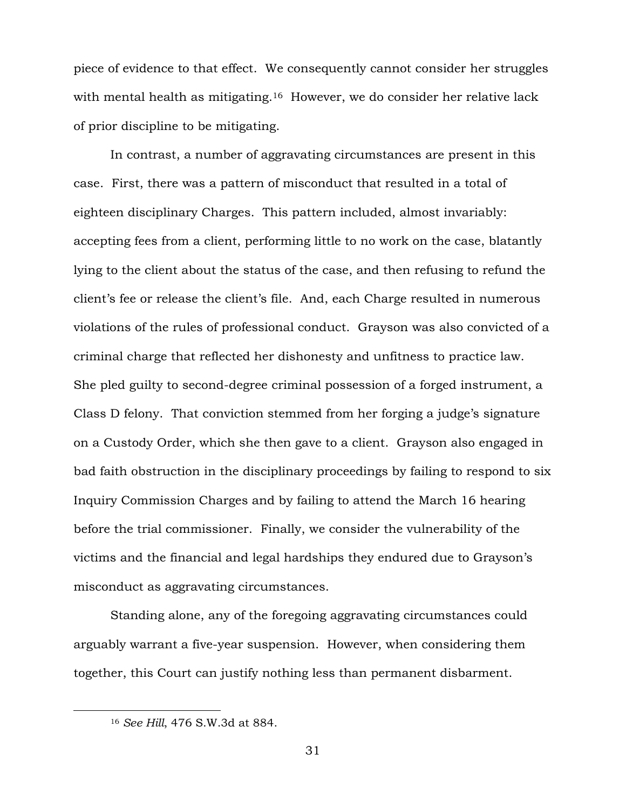piece of evidence to that effect. We consequently cannot consider her struggles with mental health as mitigating.<sup>16</sup> However, we do consider her relative lack of prior discipline to be mitigating.

In contrast, a number of aggravating circumstances are present in this case. First, there was a pattern of misconduct that resulted in a total of eighteen disciplinary Charges. This pattern included, almost invariably: accepting fees from a client, performing little to no work on the case, blatantly lying to the client about the status of the case, and then refusing to refund the client's fee or release the client's file. And, each Charge resulted in numerous violations of the rules of professional conduct. Grayson was also convicted of a criminal charge that reflected her dishonesty and unfitness to practice law. She pled guilty to second-degree criminal possession of a forged instrument, a Class D felony. That conviction stemmed from her forging a judge's signature on a Custody Order, which she then gave to a client. Grayson also engaged in bad faith obstruction in the disciplinary proceedings by failing to respond to six Inquiry Commission Charges and by failing to attend the March 16 hearing before the trial commissioner. Finally, we consider the vulnerability of the victims and the financial and legal hardships they endured due to Grayson's misconduct as aggravating circumstances.

Standing alone, any of the foregoing aggravating circumstances could arguably warrant a five-year suspension. However, when considering them together, this Court can justify nothing less than permanent disbarment.

<sup>16</sup> *See Hill*, 476 S.W.3d at 884.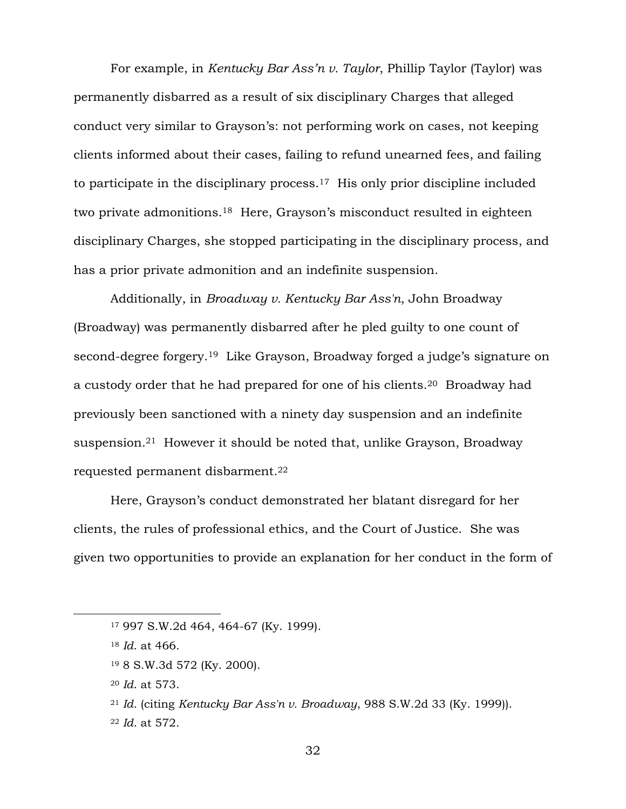For example, in *Kentucky Bar Ass'n v. Taylor*, Phillip Taylor (Taylor) was permanently disbarred as a result of six disciplinary Charges that alleged conduct very similar to Grayson's: not performing work on cases, not keeping clients informed about their cases, failing to refund unearned fees, and failing to participate in the disciplinary process.17 His only prior discipline included two private admonitions.18 Here, Grayson's misconduct resulted in eighteen disciplinary Charges, she stopped participating in the disciplinary process, and has a prior private admonition and an indefinite suspension.

Additionally, in *Broadway v. Kentucky Bar Ass'n*, John Broadway (Broadway) was permanently disbarred after he pled guilty to one count of second-degree forgery.<sup>19</sup> Like Grayson, Broadway forged a judge's signature on a custody order that he had prepared for one of his clients.20 Broadway had previously been sanctioned with a ninety day suspension and an indefinite suspension.21 However it should be noted that, unlike Grayson, Broadway requested permanent disbarment.<sup>22</sup>

Here, Grayson's conduct demonstrated her blatant disregard for her clients, the rules of professional ethics, and the Court of Justice. She was given two opportunities to provide an explanation for her conduct in the form of

 $\overline{a}$ 

<sup>20</sup> *Id*. at 573.

<sup>22</sup> *Id*. at 572.

<sup>17</sup> 997 S.W.2d 464, 464-67 (Ky. 1999).

<sup>18</sup> *Id*. at 466.

<sup>19</sup> 8 S.W.3d 572 (Ky. 2000).

<sup>21</sup> *Id*. (citing *Kentucky Bar Ass'n v. Broadway*, 988 S.W.2d 33 (Ky. 1999)).